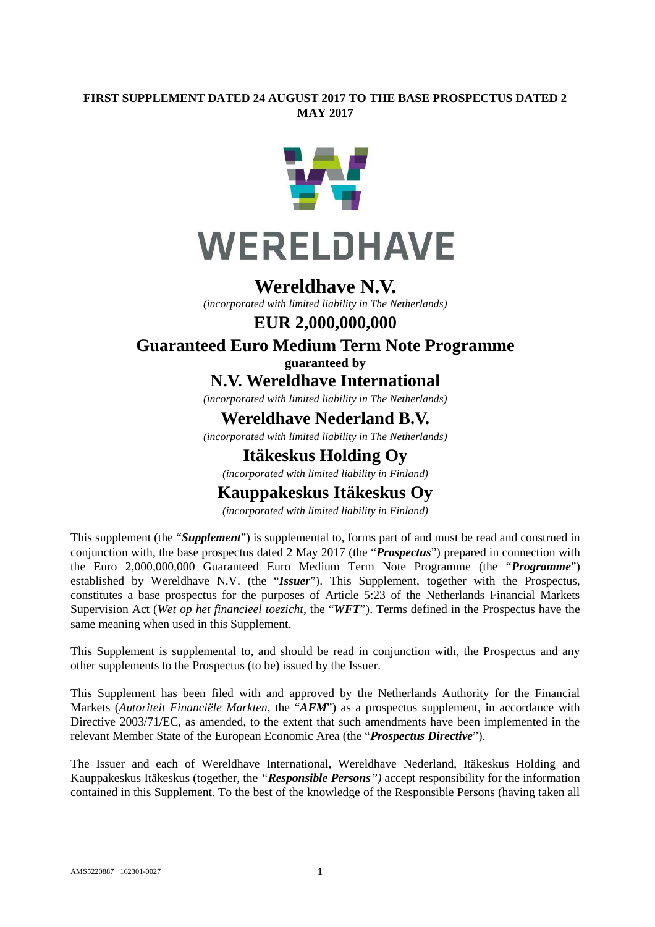#### **FIRST SUPPLEMENT DATED 24 AUGUST 2017 TO THE BASE PROSPECTUS DATED 2 MAY 2017**



### **Wereldhave N.V.**

*(incorporated with limited liability in The Netherlands)*

#### **EUR 2,000,000,000**

### **Guaranteed Euro Medium Term Note Programme guaranteed by**

**N.V. Wereldhave International**

*(incorporated with limited liability in The Netherlands)*

## **Wereldhave Nederland B.V.**

*(incorporated with limited liability in The Netherlands)*

## **Itäkeskus Holding Oy**

*(incorporated with limited liability in Finland)*

# **Kauppakeskus Itäkeskus Oy**

*(incorporated with limited liability in Finland)*

This supplement (the "*Supplement*") is supplemental to, forms part of and must be read and construed in conjunction with, the base prospectus dated 2 May 2017 (the "*Prospectus*") prepared in connection with the Euro 2,000,000,000 Guaranteed Euro Medium Term Note Programme (the "*Programme*") established by Wereldhave N.V. (the "*Issuer*"). This Supplement, together with the Prospectus, constitutes a base prospectus for the purposes of Article 5:23 of the Netherlands Financial Markets Supervision Act (*Wet op het financieel toezicht*, the "*WFT*"). Terms defined in the Prospectus have the same meaning when used in this Supplement.

This Supplement is supplemental to, and should be read in conjunction with, the Prospectus and any other supplements to the Prospectus (to be) issued by the Issuer.

This Supplement has been filed with and approved by the Netherlands Authority for the Financial Markets (*Autoriteit Financiële Markten*, the "*AFM*") as a prospectus supplement, in accordance with Directive 2003/71/EC, as amended, to the extent that such amendments have been implemented in the relevant Member State of the European Economic Area (the "*Prospectus Directive*").

The Issuer and each of Wereldhave International, Wereldhave Nederland, Itäkeskus Holding and Kauppakeskus Itäkeskus (together, the *"Responsible Persons")* accept responsibility for the information contained in this Supplement. To the best of the knowledge of the Responsible Persons (having taken all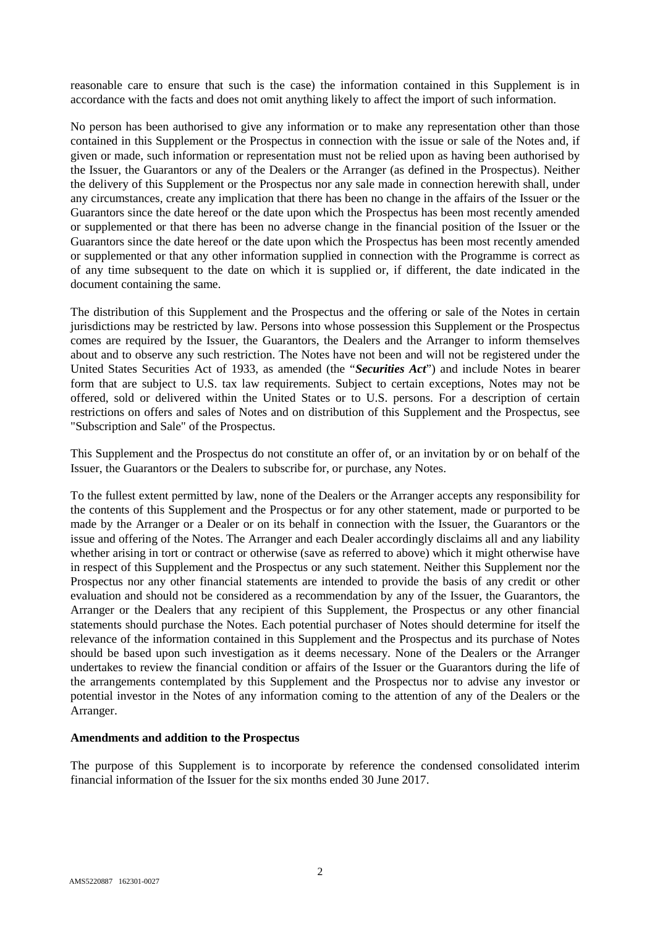reasonable care to ensure that such is the case) the information contained in this Supplement is in accordance with the facts and does not omit anything likely to affect the import of such information.

No person has been authorised to give any information or to make any representation other than those contained in this Supplement or the Prospectus in connection with the issue or sale of the Notes and, if given or made, such information or representation must not be relied upon as having been authorised by the Issuer, the Guarantors or any of the Dealers or the Arranger (as defined in the Prospectus). Neither the delivery of this Supplement or the Prospectus nor any sale made in connection herewith shall, under any circumstances, create any implication that there has been no change in the affairs of the Issuer or the Guarantors since the date hereof or the date upon which the Prospectus has been most recently amended or supplemented or that there has been no adverse change in the financial position of the Issuer or the Guarantors since the date hereof or the date upon which the Prospectus has been most recently amended or supplemented or that any other information supplied in connection with the Programme is correct as of any time subsequent to the date on which it is supplied or, if different, the date indicated in the document containing the same.

The distribution of this Supplement and the Prospectus and the offering or sale of the Notes in certain jurisdictions may be restricted by law. Persons into whose possession this Supplement or the Prospectus comes are required by the Issuer, the Guarantors, the Dealers and the Arranger to inform themselves about and to observe any such restriction. The Notes have not been and will not be registered under the United States Securities Act of 1933, as amended (the "*Securities Act*") and include Notes in bearer form that are subject to U.S. tax law requirements. Subject to certain exceptions, Notes may not be offered, sold or delivered within the United States or to U.S. persons. For a description of certain restrictions on offers and sales of Notes and on distribution of this Supplement and the Prospectus, see "Subscription and Sale" of the Prospectus.

This Supplement and the Prospectus do not constitute an offer of, or an invitation by or on behalf of the Issuer, the Guarantors or the Dealers to subscribe for, or purchase, any Notes.

To the fullest extent permitted by law, none of the Dealers or the Arranger accepts any responsibility for the contents of this Supplement and the Prospectus or for any other statement, made or purported to be made by the Arranger or a Dealer or on its behalf in connection with the Issuer, the Guarantors or the issue and offering of the Notes. The Arranger and each Dealer accordingly disclaims all and any liability whether arising in tort or contract or otherwise (save as referred to above) which it might otherwise have in respect of this Supplement and the Prospectus or any such statement. Neither this Supplement nor the Prospectus nor any other financial statements are intended to provide the basis of any credit or other evaluation and should not be considered as a recommendation by any of the Issuer, the Guarantors, the Arranger or the Dealers that any recipient of this Supplement, the Prospectus or any other financial statements should purchase the Notes. Each potential purchaser of Notes should determine for itself the relevance of the information contained in this Supplement and the Prospectus and its purchase of Notes should be based upon such investigation as it deems necessary. None of the Dealers or the Arranger undertakes to review the financial condition or affairs of the Issuer or the Guarantors during the life of the arrangements contemplated by this Supplement and the Prospectus nor to advise any investor or potential investor in the Notes of any information coming to the attention of any of the Dealers or the Arranger.

#### **Amendments and addition to the Prospectus**

The purpose of this Supplement is to incorporate by reference the condensed consolidated interim financial information of the Issuer for the six months ended 30 June 2017.